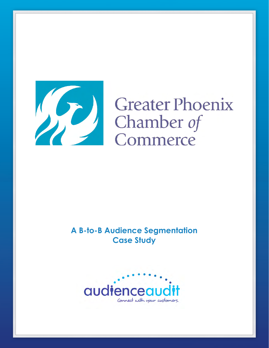

# **Greater Phoenix** Chamber of Commerce

**A B-to-B Audience Segmentation Case Study**

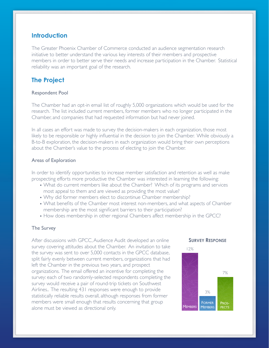## **Introduction**

The Greater Phoenix Chamber of Commerce conducted an audience segmentation research initiative to better understand the various key interests of their members and prospective members in order to better serve their needs and increase participation in the Chamber. Statistical reliability was an important goal of the research.

# **The Project**

## Respondent Pool

The Chamber had an opt-in email list of roughly 5,000 organizations which would be used for the research. The list included current members, former members who no longer participated in the Chamber, and companies that had requested information but had never joined.

In all cases an effort was made to survey the decision-makers in each organization, those most likely to be responsible or highly influential in the decision to join the Chamber. While obviously a B-to-B exploration, the decision-makers in each organization would bring their own perceptions about the Chamber's value to the process of electing to join the Chamber.

## Areas of Exploration

In order to identify opportunities to increase member satisfaction and retention as well as make prospecting efforts more productive the Chamber was interested in learning the following:

- What do current members like about the Chamber? Which of its programs and services most appeal to them and are viewed as providing the most value?
- Why did former members elect to discontinue Chamber membership?
- What benefits of the Chamber most interest non-members, and what aspects of Chamber membership are the most significant barriers to their participation?
- How does membership in other regional Chambers affect membership in the GPCC?

#### The Survey

After discussions with GPCC, Audience Audit developed an online survey covering attitudes about the Chamber. An invitation to take the survey was sent to over 5,000 contacts in the GPCC database, split fairly evenly between current members, organizations that had left the Chamber in the previous two years, and prospect organizations. The email offered an incentive for completing the survey: each of two randomly-selected respondents completing the survey would receive a pair of round-trip tickets on Southwest Airlines.. The resulting 431 responses were enough to provide statistically reliable results overall, although responses from former members were small enough that results concerning that group alone must be viewed as directional only.

#### **SURVEY RESPONSE**

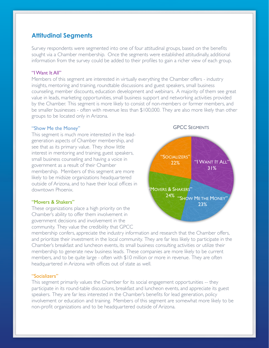# **Attitudinal Segments**

Survey respondents were segmented into one of four attitudinal groups, based on the benefits sought via a Chamber membership. Once the segments were established attitudinally, additional information from the survey could be added to their profiles to gain a richer view of each group.

#### "I Want It All"

Members of this segment are interested in virtually everything the Chamber offers - industry insights, mentoring and training, roundtable discussions and guest speakers, small business counseling, member discounts, education development and webinars. A majority of them see great value in leads, marketing opportunities, small business support and networking activities provided by the Chamber. This segment is more likely to consist of non-members or former members, and be smaller businesses - often with revenue less than \$100,000. They are also more likely than other groups to be located only in Arizona.

#### "Show Me the Money"

This segment is much more interested in the leadgeneration aspects of Chamber membership, and see that as its primary value. They show little interest in mentoring and training, guest speakers, small business counseling and having a voice in government as a result of their Chamber membership. Members of this segment are more likely to be midsize organizations headquartered outside of Arizona, and to have their local offices in downtown Phoenix.

#### "Movers & Shakers"

These organizations place a high priority on the Chamber's ability to offer them involvement in government decisions and involvement in the community. They value the credibility that GPCC

membership confers, appreciate the industry information and research that the Chamber offers, and prioritize their investment in the local community. They are far less likely to participate in the Chamber's breakfast and luncheon events, its small business consulting activities or utilize their membership to generate new business leads. These companies are more likely to be current members, and to be quite large - often with \$10 million or more in revenue. They are often headquartered in Arizona with offices out of state as well.

## "Socializers"

This segment primarily values the Chamber for its social engagement opportunities -- they participate in its round-table discussions, breakfast and luncheon events, and appreciate its guest speakers. They are far less interested in the Chamber's benefits for lead generation, policy involvement or education and training. Members of this segment are somewhat more likely to be non-profit organizations and to be headquartered outside of Arizona.

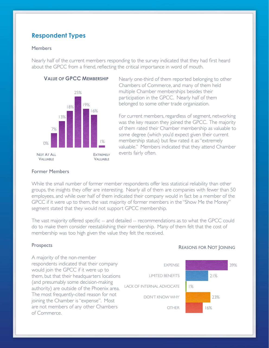# **Respondent Types**

## **Members**

Nearly half of the current members responding to the survey indicated that they had first heard about the GPCC from a friend, reflecting the critical importance in word of mouth.

## **VALUE OF GPCC MEMBERSHIP**



Nearly one-third of them reported belonging to other Chambers of Commerce, and many of them held multiple Chamber memberships besides their participation in the GPCC. Nearly half of them belonged to some other trade organization.

For current members, regardless of segment, networking was the key reason they joined the GPCC. The majority of them rated their Chamber membership as valuable to some degree (which you'd expect given their current membership status) but few rated it as "extremely valuable." Members indicated that they attend Chamber events fairly often.

## Former Members

While the small number of former member respondents offer less statistical reliability than other groups, the insights they offer are interesting. Nearly all of them are companies with fewer than 50 employees, and while over half of them indicated their company would in fact be a member of the GPCC if it were up to them, the vast majority of former members in the "Show Me the Money" segment stated that they would not support GPCC membership.

The vast majority offered specific -- and detailed -- recommendations as to what the GPCC could do to make them consider reestablishing their membership. Many of them felt that the cost of membership was too high given the value they felt the received.

#### **Prospects**

A majority of the non-member respondents indicated that their company would join the GPCC if it were up to them, but that their headquarters locations (and presumably some decision-making authority) are outside of the Phoenix area. The most frequently-cited reason for not joining the Chamber is "expense". Most are not members of any other Chambers of Commerce. EXPENSE LIMITED BENEFITS LACK OF INTERNAL ADVOCATE DON'T KNOW WHY OTHER 16% 1%

#### REASONS FOR NOT JOINING

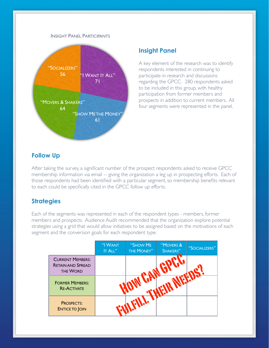## INSIGHT PANEL PARTICIPANTS



## **Insight Panel**

A key element of the research was to identify respondents interested in continuing to participate in research and discussions regarding the GPCC. 280 respondents asked to be included in this group, with healthy participation from former members and prospects in addition to current members. All four segments were represented in the panel.

## **Follow Up**

After taking the survey, a significant number of the prospect respondents asked to receive GPCC membership information via email -- giving the organization a leg up in prospecting efforts. Each of those respondents had been identified with a particular segment, so membership benefits relevant to each could be specifically cited in the GPCC follow up efforts.

## **Strategies**

Each of the segments was represented in each of the respondent types - members, former members and prospects. Audience Audit recommended that the organization explore potential strategies using a grid that would allow initiatives to be assigned based on the motivations of each segment and the conversion goals for each respondent type.

|                                                                 | "I WANT<br>IT ALL" | "SHOW ME<br>THE MONEY" | "MOVERS &<br>SHAKERS" | "SOCIALIZERS" |
|-----------------------------------------------------------------|--------------------|------------------------|-----------------------|---------------|
| <b>CURRENT MEMBERS:</b><br><b>RETAIN AND SPREAD</b><br>THE WORD |                    |                        |                       |               |
| <b>FORMER MEMBERS:</b><br><b>RE-ACTIVATE</b>                    |                    |                        |                       |               |
| <b>PROSPECTS:</b><br><b>ENTICE TO JOIN</b>                      |                    |                        |                       |               |